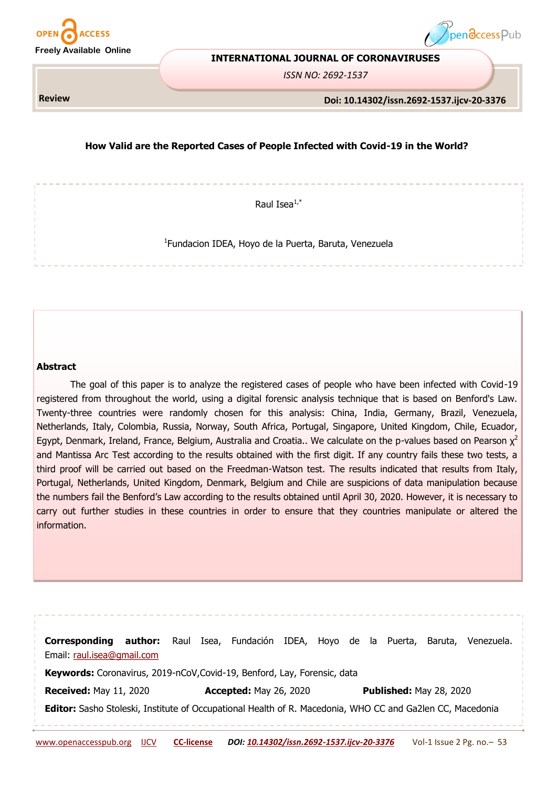



#### **INTERNATIONAL JOURNAL OF CORONAVIRUSES**

*ISSN NO: 2692-1537*

**Review**

#### **Doi: 10.14302/issn.2692-1537.ijcv-20-3376**

# **How Valid are the Reported Cases of People Infected with Covid-19 in the World?**

Raul Isea $1,*$ 

1 Fundacion IDEA, Hoyo de la Puerta, Baruta, Venezuela

# **Abstract**

The goal of this paper is to analyze the registered cases of people who have been infected with Covid-19 registered from throughout the world, using a digital forensic analysis technique that is based on Benford's Law. Twenty-three countries were randomly chosen for this analysis: China, India, Germany, Brazil, Venezuela, Netherlands, Italy, Colombia, Russia, Norway, South Africa, Portugal, Singapore, United Kingdom, Chile, Ecuador, Egypt, Denmark, Ireland, France, Belgium, Australia and Croatia.. We calculate on the p-values based on Pearson  $\chi^2$ and Mantissa Arc Test according to the results obtained with the first digit. If any country fails these two tests, a third proof will be carried out based on the Freedman-Watson test. The results indicated that results from Italy, Portugal, Netherlands, United Kingdom, Denmark, Belgium and Chile are suspicions of data manipulation because the numbers fail the Benford's Law according to the results obtained until April 30, 2020. However, it is necessary to carry out further studies in these countries in order to ensure that they countries manipulate or altered the information.

| Corresponding                                                                                             | author: |  |                               | Raul Isea, Fundación IDEA, Hoyo de la Puerta, |  |  |  |                                |  | Baruta, | Venezuela. |  |  |  |
|-----------------------------------------------------------------------------------------------------------|---------|--|-------------------------------|-----------------------------------------------|--|--|--|--------------------------------|--|---------|------------|--|--|--|
| Email: raul.isea@gmail.com                                                                                |         |  |                               |                                               |  |  |  |                                |  |         |            |  |  |  |
| Keywords: Coronavirus, 2019-nCoV, Covid-19, Benford, Lay, Forensic, data                                  |         |  |                               |                                               |  |  |  |                                |  |         |            |  |  |  |
| <b>Received: May 11, 2020</b>                                                                             |         |  | <b>Accepted: May 26, 2020</b> |                                               |  |  |  | <b>Published: May 28, 2020</b> |  |         |            |  |  |  |
| Editor: Sasho Stoleski, Institute of Occupational Health of R. Macedonia, WHO CC and Ga2len CC, Macedonia |         |  |                               |                                               |  |  |  |                                |  |         |            |  |  |  |
|                                                                                                           |         |  |                               |                                               |  |  |  |                                |  |         |            |  |  |  |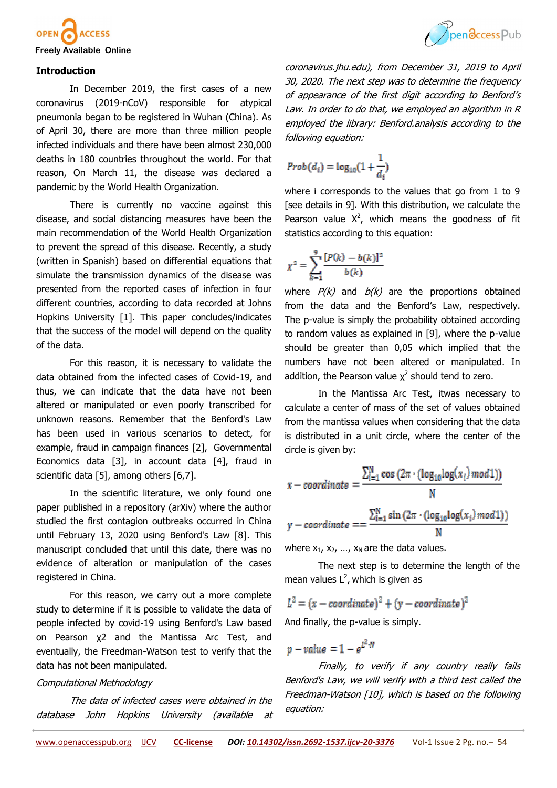



### **Introduction**

In December 2019, the first cases of a new coronavirus (2019-nCoV) responsible for atypical pneumonia began to be registered in Wuhan (China). As of April 30, there are more than three million people infected individuals and there have been almost 230,000 deaths in 180 countries throughout the world. For that reason, On March 11, the disease was declared a pandemic by the World Health Organization.

There is currently no vaccine against this disease, and social distancing measures have been the main recommendation of the World Health Organization to prevent the spread of this disease. Recently, a study (written in Spanish) based on differential equations that simulate the transmission dynamics of the disease was presented from the reported cases of infection in four different countries, according to data recorded at Johns Hopkins University [1]. This paper concludes/indicates that the success of the model will depend on the quality of the data.

For this reason, it is necessary to validate the data obtained from the infected cases of Covid-19, and thus, we can indicate that the data have not been altered or manipulated or even poorly transcribed for unknown reasons. Remember that the Benford's Law has been used in various scenarios to detect, for example, fraud in campaign finances [2], Governmental Economics data [3], in account data [4], fraud in scientific data [5], among others [6,7].

In the scientific literature, we only found one paper published in a repository (arXiv) where the author studied the first contagion outbreaks occurred in China until February 13, 2020 using Benford's Law [8]. This manuscript concluded that until this date, there was no evidence of alteration or manipulation of the cases registered in China.

For this reason, we carry out a more complete study to determine if it is possible to validate the data of people infected by covid-19 using Benford's Law based on Pearson χ2 and the Mantissa Arc Test, and eventually, the Freedman-Watson test to verify that the data has not been manipulated.

#### Computational Methodology

The data of infected cases were obtained in the database John Hopkins University (available at

coronavirus.jhu.edu), from December 31, 2019 to April 30, 2020. The next step was to determine the frequency of appearance of the first digit according to Benford'<sup>s</sup> Law. In order to do that, we employed an algorithm in R employed the library: Benford.analysis according to the following equation:

$$
Prob(d_i) = log_{10}(1 + \frac{1}{d_i})
$$

where i corresponds to the values that go from 1 to 9 [see details in 9]. With this distribution, we calculate the Pearson value  $X^2$ , which means the goodness of fit statistics according to this equation:

$$
\chi^{2} = \sum_{k=1}^{9} \frac{[P(k) - b(k)]^{2}}{b(k)}
$$

where  $P(k)$  and  $b(k)$  are the proportions obtained from the data and the Benford's Law, respectively. The p-value is simply the probability obtained according to random values as explained in [9], where the p-value should be greater than 0,05 which implied that the numbers have not been altered or manipulated. In addition, the Pearson value  $\chi^2$  should tend to zero.

In the Mantissa Arc Test, itwas necessary to calculate a center of mass of the set of values obtained from the mantissa values when considering that the data is distributed in a unit circle, where the center of the circle is given by:

$$
x - coordinate = \frac{\sum_{i=1}^{N} \cos(2\pi \cdot (\log_{10} \log(x_i) \mod 1))}{N}
$$

$$
y - coordinate = \frac{\sum_{i=1}^{N} \sin(2\pi \cdot (\log_{10} \log(x_i) \mod 1))}{N}
$$

where  $x_1$ ,  $x_2$ , ...,  $x_N$  are the data values.

The next step is to determine the length of the mean values  $L^2$ , which is given as

$$
L^2 = (x - coordinate)^2 + (y - coordinate)^2
$$

And finally, the p-value is simply.

$$
p-value=1-e^{L^2\cdot N}
$$

Finally, to verify if any country really fails Benford's Law, we will verify with a third test called the Freedman-Watson [10], which is based on the following equation: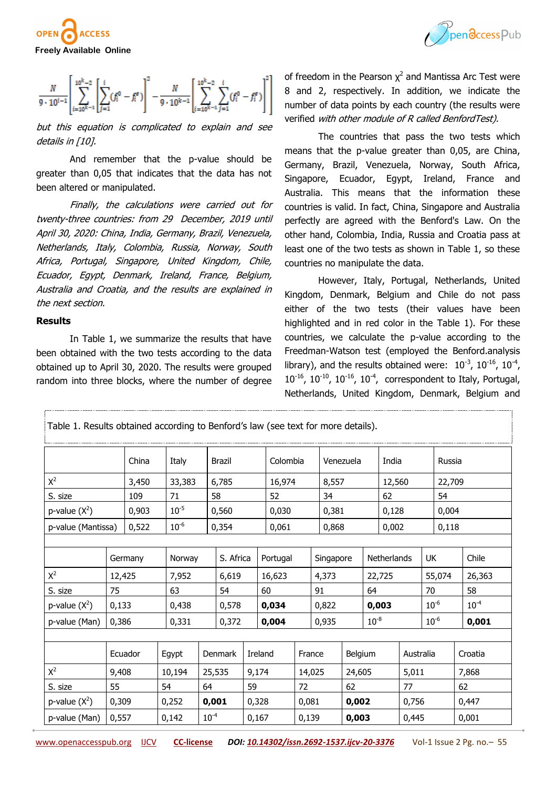



$$
\frac{N}{9 \cdot 10^{i-1}} \left[ \sum_{i=10^{k}-1}^{10^{k}-2} \left[ \sum_{j=1}^{i} (f_{i}^{0} - f_{i}^{e}) \right]^{2} - \frac{N}{9 \cdot 10^{k-1}} \left[ \sum_{i=10^{k}-1}^{10^{k}-2} \sum_{j=1}^{i} (f_{i}^{0} - f_{i}^{e}) \right]^{2} \right]
$$

but this equation is complicated to explain and see details in [10].

And remember that the p-value should be greater than 0,05 that indicates that the data has not been altered or manipulated.

Finally, the calculations were carried out for twenty-three countries: from 29 December, 2019 until April 30, 2020: China, India, Germany, Brazil, Venezuela, Netherlands, Italy, Colombia, Russia, Norway, South Africa, Portugal, Singapore, United Kingdom, Chile, Ecuador, Egypt, Denmark, Ireland, France, Belgium, Australia and Croatia, and the results are explained in the next section.

#### **Results**

In Table 1, we summarize the results that have been obtained with the two tests according to the data obtained up to April 30, 2020. The results were grouped random into three blocks, where the number of degree

of freedom in the Pearson  $\chi^2$  and Mantissa Arc Test were 8 and 2, respectively. In addition, we indicate the number of data points by each country (the results were verified with other module of R called BenfordTest).

The countries that pass the two tests which means that the p-value greater than 0,05, are China, Germany, Brazil, Venezuela, Norway, South Africa, Singapore, Ecuador, Egypt, Ireland, France and Australia. This means that the information these countries is valid. In fact, China, Singapore and Australia perfectly are agreed with the Benford's Law. On the other hand, Colombia, India, Russia and Croatia pass at least one of the two tests as shown in Table 1, so these countries no manipulate the data.

However, Italy, Portugal, Netherlands, United Kingdom, Denmark, Belgium and Chile do not pass either of the two tests (their values have been highlighted and in red color in the Table 1). For these countries, we calculate the p-value according to the Freedman-Watson test (employed the Benford.analysis library), and the results obtained were:  $10^{-3}$ ,  $10^{-16}$ ,  $10^{-4}$ ,  $10^{-16}$ ,  $10^{-10}$ ,  $10^{-16}$ ,  $10^{-4}$ , correspondent to Italy, Portugal, Netherlands, United Kingdom, Denmark, Belgium and

| Table 1. Results obtained according to Benford's law (see text for more details). |        |           |        |  |               |         |          |        |           |  |                    |  |           |           |           |        |
|-----------------------------------------------------------------------------------|--------|-----------|--------|--|---------------|---------|----------|--------|-----------|--|--------------------|--|-----------|-----------|-----------|--------|
|                                                                                   |        | China     | Italy  |  | <b>Brazil</b> |         | Colombia |        |           |  | Venezuela          |  | India     |           | Russia    |        |
| $X^2$<br>3,450                                                                    |        | 33,383    | 6,785  |  |               | 16,974  |          | 8,557  |           |  | 12,560             |  |           | 22,709    |           |        |
| S. size<br>109                                                                    |        | 71        | 58     |  |               | 52      |          | 34     |           |  | 62                 |  |           | 54        |           |        |
| p-value $(X^2)$<br>0,903                                                          |        | $10^{-5}$ | 0,560  |  |               | 0,030   |          |        | 0,381     |  | 0,128              |  |           | 0,004     |           |        |
| 0,522<br>p-value (Mantissa)                                                       |        | $10^{-6}$ | 0,354  |  |               | 0,061   |          |        | 0,868     |  | 0,002              |  |           | 0,118     |           |        |
|                                                                                   |        |           |        |  |               |         |          |        |           |  |                    |  |           |           |           |        |
|                                                                                   |        | Germany   | Norway |  | S. Africa     |         | Portugal |        | Singapore |  | <b>Netherlands</b> |  |           | <b>UK</b> |           | Chile  |
| $X^2$                                                                             | 12,425 |           | 7,952  |  | 6,619         |         | 16,623   |        | 4,373     |  | 22,725             |  | 55,074    |           |           | 26,363 |
| S. size                                                                           | 75     |           | 63     |  | 54            |         | 60       |        | 91        |  | 64                 |  | 70        |           | 58        |        |
| p-value $(X^2)$                                                                   | 0,133  |           | 0,438  |  |               |         | 0,034    |        | 0,822     |  | 0,003              |  |           | $10^{-6}$ | $10^{-4}$ |        |
| p-value (Man)                                                                     | 0,386  |           | 0,331  |  | 0,372         |         | 0,004    |        | 0,935     |  | $10^{-8}$          |  | $10^{-6}$ |           |           | 0,001  |
|                                                                                   |        |           |        |  |               |         |          |        |           |  |                    |  |           |           |           |        |
|                                                                                   |        | Ecuador   | Egypt  |  | Denmark       | Ireland |          | France |           |  | Belgium            |  | Australia |           | Croatia   |        |
| $X^2$                                                                             | 9,408  |           | 10,194 |  | 25,535        |         | 9,174    |        | 14,025    |  | 24,605             |  | 5,011     |           | 7,868     |        |
| S. size                                                                           | 55     |           | 54     |  | 64            |         | 59       |        | 72        |  | 62                 |  | 77        |           | 62        |        |
| p-value $(X^2)$                                                                   | 0,309  |           | 0,252  |  | 0,001         |         | 0,328    |        | 0,081     |  | 0,002              |  | 0,756     |           | 0,447     |        |
| p-value (Man)                                                                     | 0,557  |           | 0,142  |  | $10^{-4}$     |         | 0,167    |        | 0,139     |  | 0,003              |  | 0,445     |           | 0,001     |        |